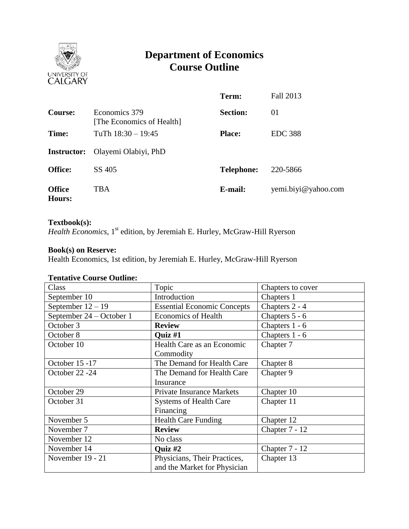

# **Department of Economics Course Outline**

|                                |                                            | Term:             | Fall 2013           |
|--------------------------------|--------------------------------------------|-------------------|---------------------|
| <b>Course:</b>                 | Economics 379<br>[The Economics of Health] | <b>Section:</b>   | 01                  |
| Time:                          | TuTh $18:30 - 19:45$                       | <b>Place:</b>     | <b>EDC 388</b>      |
| <b>Instructor:</b>             | Olayemi Olabiyi, PhD                       |                   |                     |
| <b>Office:</b>                 | SS 405                                     | <b>Telephone:</b> | 220-5866            |
| <b>Office</b><br><b>Hours:</b> | TBA                                        | E-mail:           | yemi.biyi@yahoo.com |

#### **Textbook(s):**

*Health Economics*, 1st edition, by Jeremiah E. Hurley, McGraw-Hill Ryerson

# **Book(s) on Reserve:**

Health Economics, 1st edition, by Jeremiah E. Hurley, McGraw-Hill Ryerson

#### **Tentative Course Outline:**

| Class                    | Topic                              | Chapters to cover |
|--------------------------|------------------------------------|-------------------|
| September 10             | Introduction                       | Chapters 1        |
| September $12 - 19$      | <b>Essential Economic Concepts</b> | Chapters 2 - 4    |
| September 24 – October 1 | <b>Economics of Health</b>         | Chapters 5 - 6    |
| October 3                | <b>Review</b>                      | Chapters 1 - 6    |
| October 8                | <b>Ouiz</b> #1                     | Chapters 1 - 6    |
| October 10               | Health Care as an Economic         | Chapter 7         |
|                          | Commodity                          |                   |
| October 15 -17           | The Demand for Health Care         | Chapter 8         |
| October 22 -24           | The Demand for Health Care         | Chapter 9         |
|                          | Insurance                          |                   |
| October 29               | <b>Private Insurance Markets</b>   | Chapter 10        |
| October 31               | <b>Systems of Health Care</b>      | Chapter 11        |
|                          | Financing                          |                   |
| November 5               | <b>Health Care Funding</b>         | Chapter 12        |
| November 7               | <b>Review</b>                      | Chapter 7 - 12    |
| November 12              | No class                           |                   |
| November 14              | <b>Ouiz #2</b>                     | Chapter 7 - 12    |
| November 19 - 21         | Physicians, Their Practices,       | Chapter 13        |
|                          | and the Market for Physician       |                   |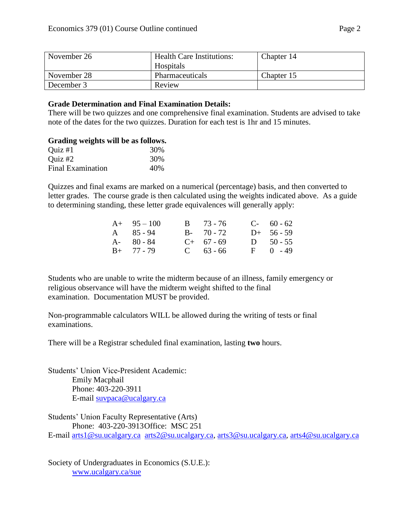| November 26 | <b>Health Care Institutions:</b><br>Hospitals | Chapter 14 |
|-------------|-----------------------------------------------|------------|
| November 28 | Pharmaceuticals                               | Chapter 15 |
| December 3  | Review                                        |            |

#### **Grade Determination and Final Examination Details:**

There will be two quizzes and one comprehensive final examination. Students are advised to take note of the dates for the two quizzes. Duration for each test is 1hr and 15 minutes.

## **Grading weights will be as follows.**

| $Quiz \#1$               | 30% |
|--------------------------|-----|
| Quiz $#2$                | 30% |
| <b>Final Examination</b> | 40% |

Quizzes and final exams are marked on a numerical (percentage) basis, and then converted to letter grades. The course grade is then calculated using the weights indicated above. As a guide to determining standing, these letter grade equivalences will generally apply:

| $A+ 95-100$       | $B = 73 - 76$ | $C-60-62$    |
|-------------------|---------------|--------------|
| $A \quad 85 - 94$ | $B - 70 - 72$ | $D+ 56 - 59$ |
| $A - 80 - 84$     | $C+ 67 - 69$  | D $50 - 55$  |
| $B+ 77 - 79$      | $C = 63 - 66$ | $F = 0 - 49$ |

Students who are unable to write the midterm because of an illness, family emergency or religious observance will have the midterm weight shifted to the final examination. Documentation MUST be provided.

Non-programmable calculators WILL be allowed during the writing of tests or final examinations.

There will be a Registrar scheduled final examination, lasting **two** hours.

Students' Union Vice-President Academic: Emily Macphail Phone: 403-220-3911 E-mail [suvpaca@ucalgary.ca](mailto:subpaca@ucalgary.ca)

Students' Union Faculty Representative (Arts) Phone: 403-220-3913Office: MSC 251

E-mail [arts1@su.ucalgary.ca](mailto:arts1@su.ucalgary.ca) [arts2@su.ucalgary.ca,](mailto:arts2@su.ucalgary.ca) [arts3@su.ucalgary.ca,](mailto:arts3@su.ucalgary.ca) [arts4@su.ucalgary.ca](mailto:arts4@su.ucalgary.ca)

Society of Undergraduates in Economics (S.U.E.): [www.ucalgary.ca/sue](http://www.fp.ucalgary.ca/econ)